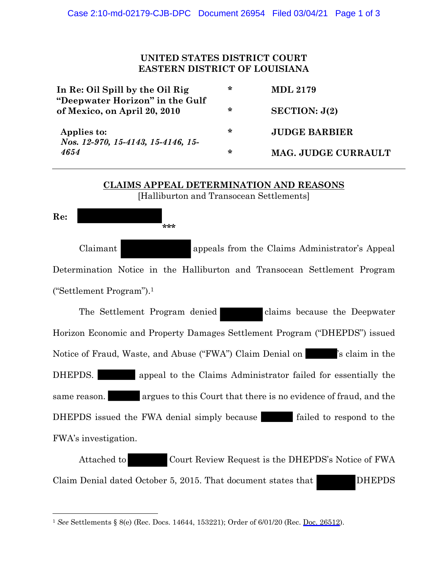## **UNITED STATES DISTRICT COURT EASTERN DISTRICT OF LOUISIANA**

| In Re: Oil Spill by the Oil Rig<br>"Deepwater Horizon" in the Gulf<br>of Mexico, on April 20, 2010 | ∗ | <b>MDL 2179</b>      |
|----------------------------------------------------------------------------------------------------|---|----------------------|
|                                                                                                    | ∗ | SECTION: J(2)        |
| Applies to:<br>Nos. 12-970, 15-4143, 15-4146, 15-<br>4654                                          | ∗ | <b>JUDGE BARBIER</b> |
|                                                                                                    | ∗ | MAG. JUDGE CURRAULT  |

## **CLAIMS APPEAL DETERMINATION AND REASONS** [Halliburton and Transocean Settlements]

**Re:**

Claimant appeals from the Claims Administrator's Appeal Determination Notice in the Halliburton and Transocean Settlement Program ("Settlement Program"). 1

**\*\*\***

The Settlement Program denied claims because the Deepwater Horizon Economic and Property Damages Settlement Program ("DHEPDS") issued Notice of Fraud, Waste, and Abuse ("FWA") Claim Denial on 's claim in the DHEPDS. **EXECUTE:** appeal to the Claims Administrator failed for essentially the same reason. argues to this Court that there is no evidence of fraud, and the DHEPDS issued the FWA denial simply because failed to respond to the FWA's investigation.

Attached to Court Review Request is the DHEPDS's Notice of FWA Claim Denial dated October 5, 2015. That document states that DHEPDS

<sup>1</sup> *See* Settlements § 8(e) (Rec. Docs. 14644, 153221); Order of 6/01/20 (Rec. Doc. 26512).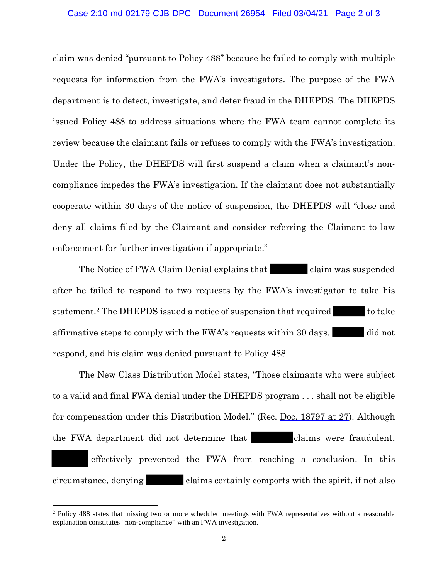## Case 2:10-md-02179-CJB-DPC Document 26954 Filed 03/04/21 Page 2 of 3

claim was denied "pursuant to Policy 488" because he failed to comply with multiple requests for information from the FWA's investigators. The purpose of the FWA department is to detect, investigate, and deter fraud in the DHEPDS. The DHEPDS issued Policy 488 to address situations where the FWA team cannot complete its review because the claimant fails or refuses to comply with the FWA's investigation. Under the Policy, the DHEPDS will first suspend a claim when a claimant's noncompliance impedes the FWA's investigation. If the claimant does not substantially cooperate within 30 days of the notice of suspension, the DHEPDS will "close and deny all claims filed by the Claimant and consider referring the Claimant to law enforcement for further investigation if appropriate."

The Notice of FWA Claim Denial explains that claim was suspended after he failed to respond to two requests by the FWA's investigator to take his statement.<sup>2</sup> The DHEPDS issued a notice of suspension that required to take affirmative steps to comply with the FWA's requests within 30 days. did not respond, and his claim was denied pursuant to Policy 488.

The New Class Distribution Model states, "Those claimants who were subject to a valid and final FWA denial under the DHEPDS program . . . shall not be eligible for compensation under this Distribution Model." (Rec. Doc. 18797 at 27). Although the FWA department did not determine that claims were fraudulent, effectively prevented the FWA from reaching a conclusion. In this circumstance, denying claims certainly comports with the spirit, if not also

<sup>&</sup>lt;sup>2</sup> Policy 488 states that missing two or more scheduled meetings with FWA representatives without a reasonable explanation constitutes "non-compliance" with an FWA investigation.